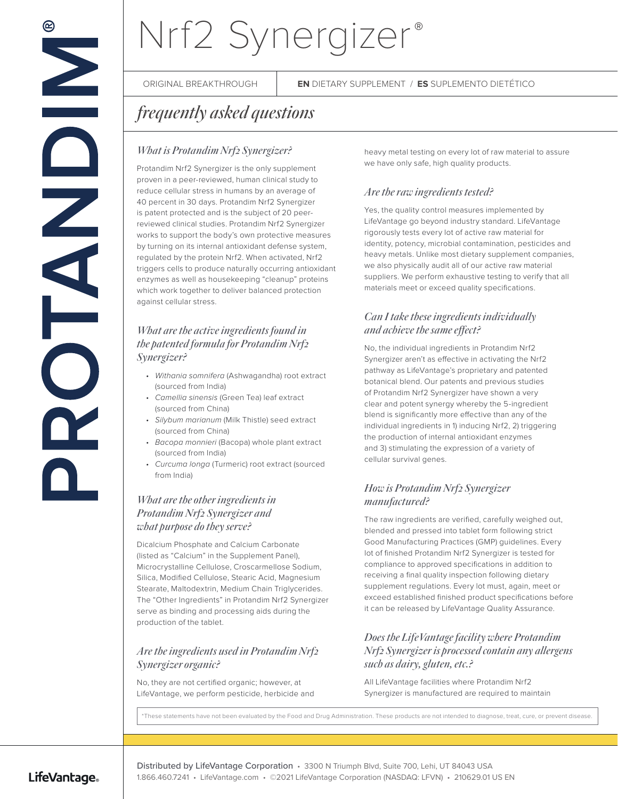# Nrf2 Synergizer **®**

ORIGINAL BREAKTHROUGH **EN** DIETARY SUPPLEMENT / **ES** SUPLEMENTO DIETÉTICO

## *frequently asked questions*

### *What is Protandim Nrf2 Synergizer?*

Protandim Nrf2 Synergizer is the only supplement proven in a peer-reviewed, human clinical study to reduce cellular stress in humans by an average of 40 percent in 30 days. Protandim Nrf2 Synergizer is patent protected and is the subject of 20 peerreviewed clinical studies. Protandim Nrf2 Synergizer works to support the body's own protective measures by turning on its internal antioxidant defense system, regulated by the protein Nrf2. When activated, Nrf2 triggers cells to produce naturally occurring antioxidant enzymes as well as housekeeping "cleanup" proteins which work together to deliver balanced protection against cellular stress.

#### *What are the active ingredients found in the patented formula for Protandim Nrf2 Synergizer?*

- Withania somnifera (Ashwagandha) root extract (sourced from India)
- Camellia sinensis (Green Tea) leaf extract (sourced from China)
- Silybum marianum (Milk Thistle) seed extract (sourced from China)
- Bacopa monnieri (Bacopa) whole plant extract (sourced from India)
- Curcuma longa (Turmeric) root extract (sourced from India)

### *What are the other ingredients in Protandim Nrf2 Synergizer and what purpose do they serve?*

Dicalcium Phosphate and Calcium Carbonate (listed as "Calcium" in the Supplement Panel), Microcrystalline Cellulose, Croscarmellose Sodium, Silica, Modified Cellulose, Stearic Acid, Magnesium Stearate, Maltodextrin, Medium Chain Triglycerides. The "Other Ingredients" in Protandim Nrf2 Synergizer serve as binding and processing aids during the production of the tablet.

#### *Are the ingredients used in Protandim Nrf2 Synergizer organic?*

No, they are not certified organic; however, at LifeVantage, we perform pesticide, herbicide and heavy metal testing on every lot of raw material to assure we have only safe, high quality products.

### *Are the raw ingredients tested?*

Yes, the quality control measures implemented by LifeVantage go beyond industry standard. LifeVantage rigorously tests every lot of active raw material for identity, potency, microbial contamination, pesticides and heavy metals. Unlike most dietary supplement companies, we also physically audit all of our active raw material suppliers. We perform exhaustive testing to verify that all materials meet or exceed quality specifications.

#### *Can I take these ingredients individually and achieve the same effect?*

No, the individual ingredients in Protandim Nrf2 Synergizer aren't as effective in activating the Nrf2 pathway as LifeVantage's proprietary and patented botanical blend. Our patents and previous studies of Protandim Nrf2 Synergizer have shown a very clear and potent synergy whereby the 5-ingredient blend is significantly more effective than any of the individual ingredients in 1) inducing Nrf2, 2) triggering the production of internal antioxidant enzymes and 3) stimulating the expression of a variety of cellular survival genes.

### *How is Protandim Nrf2 Synergizer manufactured?*

The raw ingredients are verified, carefully weighed out, blended and pressed into tablet form following strict Good Manufacturing Practices (GMP) guidelines. Every lot of finished Protandim Nrf2 Synergizer is tested for compliance to approved specifications in addition to receiving a final quality inspection following dietary supplement regulations. Every lot must, again, meet or exceed established finished product specifications before it can be released by LifeVantage Quality Assurance.

#### *Does the LifeVantage facility where Protandim Nrf2 Synergizer is processed contain any allergens such as dairy, gluten, etc.?*

All LifeVantage facilities where Protandim Nrf2 Synergizer is manufactured are required to maintain

\*These statements have not been evaluated by the Food and Drug Administration. These products are not intended to diagnose, treat, cure, or prevent disease.

#### LifeVantage.

Distributed by LifeVantage Corporation • 3300 N Triumph Blvd, Suite 700, Lehi, UT 84043 USA 1.866.460.7241 • LifeVantage.com • ©2021 LifeVantage Corporation (NASDAQ: LFVN) • 210629.01 US EN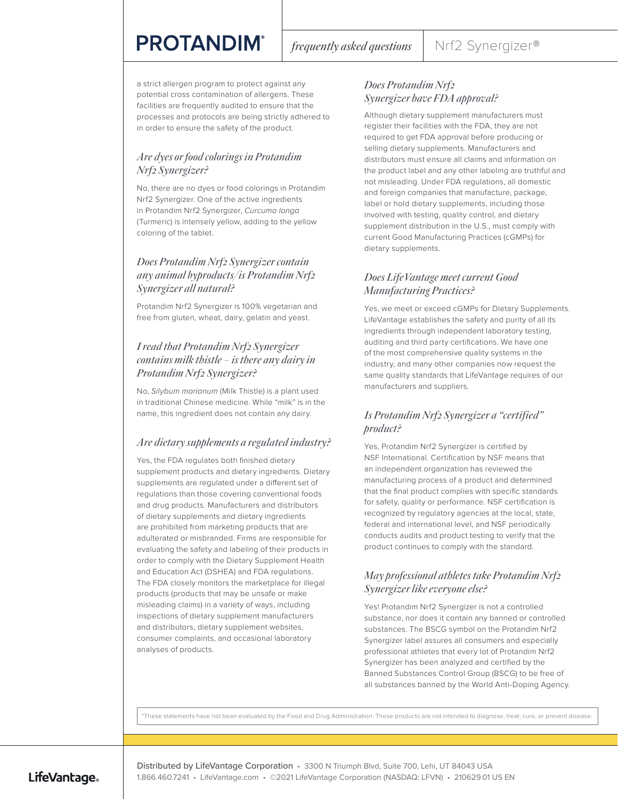## **PROTANDIM®**

a strict allergen program to protect against any potential cross contamination of allergens. These facilities are frequently audited to ensure that the processes and protocols are being strictly adhered to in order to ensure the safety of the product.

#### *Are dyes or food colorings in Protandim Nrf2 Synergizer?*

No, there are no dyes or food colorings in Protandim Nrf2 Synergizer. One of the active ingredients in Protandim Nrf2 Synergizer, Curcuma longa (Turmeric) is intensely yellow, adding to the yellow coloring of the tablet.

#### *Does Protandim Nrf2 Synergizer contain any animal byproducts/is Protandim Nrf2 Synergizer all natural?*

Protandim Nrf2 Synergizer is 100% vegetarian and free from gluten, wheat, dairy, gelatin and yeast.

#### *I read that Protandim Nrf2 Synergizer contains milk thistle – is there any dairy in Protandim Nrf2 Synergizer?*

No, Silybum marianum (Milk Thistle) is a plant used in traditional Chinese medicine. While "milk" is in the name, this ingredient does not contain any dairy.

#### *Are dietary supplements a regulated industry?*

Yes, the FDA regulates both finished dietary supplement products and dietary ingredients. Dietary supplements are regulated under a different set of regulations than those covering conventional foods and drug products. Manufacturers and distributors of dietary supplements and dietary ingredients are prohibited from marketing products that are adulterated or misbranded. Firms are responsible for evaluating the safety and labeling of their products in order to comply with the Dietary Supplement Health and Education Act (DSHEA) and FDA regulations. The FDA closely monitors the marketplace for illegal products (products that may be unsafe or make misleading claims) in a variety of ways, including inspections of dietary supplement manufacturers and distributors, dietary supplement websites, consumer complaints, and occasional laboratory analyses of products.

#### *Does Protandim Nrf2 Synergizer have FDA approval?*

Although dietary supplement manufacturers must register their facilities with the FDA, they are not required to get FDA approval before producing or selling dietary supplements. Manufacturers and distributors must ensure all claims and information on the product label and any other labeling are truthful and not misleading. Under FDA regulations, all domestic and foreign companies that manufacture, package, label or hold dietary supplements, including those involved with testing, quality control, and dietary supplement distribution in the U.S., must comply with current Good Manufacturing Practices (cGMPs) for dietary supplements.

#### *Does LifeVantage meet current Good Manufacturing Practices?*

Yes, we meet or exceed cGMPs for Dietary Supplements. LifeVantage establishes the safety and purity of all its ingredients through independent laboratory testing, auditing and third party certifications. We have one of the most comprehensive quality systems in the industry, and many other companies now request the same quality standards that LifeVantage requires of our manufacturers and suppliers.

#### *Is Protandim Nrf2 Synergizer a "certified" product?*

Yes, Protandim Nrf2 Synergizer is certified by NSF International. Certification by NSF means that an independent organization has reviewed the manufacturing process of a product and determined that the final product complies with specific standards for safety, quality or performance. NSF certification is recognized by regulatory agencies at the local, state, federal and international level, and NSF periodically conducts audits and product testing to verify that the product continues to comply with the standard.

#### *May professional athletes take Protandim Nrf2 Synergizer like everyone else?*

Yes! Protandim Nrf2 Synergizer is not a controlled substance, nor does it contain any banned or controlled substances. The BSCG symbol on the Protandim Nrf2 Synergizer label assures all consumers and especially professional athletes that every lot of Protandim Nrf2 Synergizer has been analyzed and certified by the Banned Substances Control Group (BSCG) to be free of all substances banned by the World Anti-Doping Agency.

\*These statements have not been evaluated by the Food and Drug Administration. These products are not intended to diagnose, treat, cure, or prevent disease.

#### LifeVantage.

Distributed by LifeVantage Corporation • 3300 N Triumph Blvd, Suite 700, Lehi, UT 84043 USA 1.866.460.7241 • LifeVantage.com • ©2021 LifeVantage Corporation (NASDAQ: LFVN) • 210629.01 US EN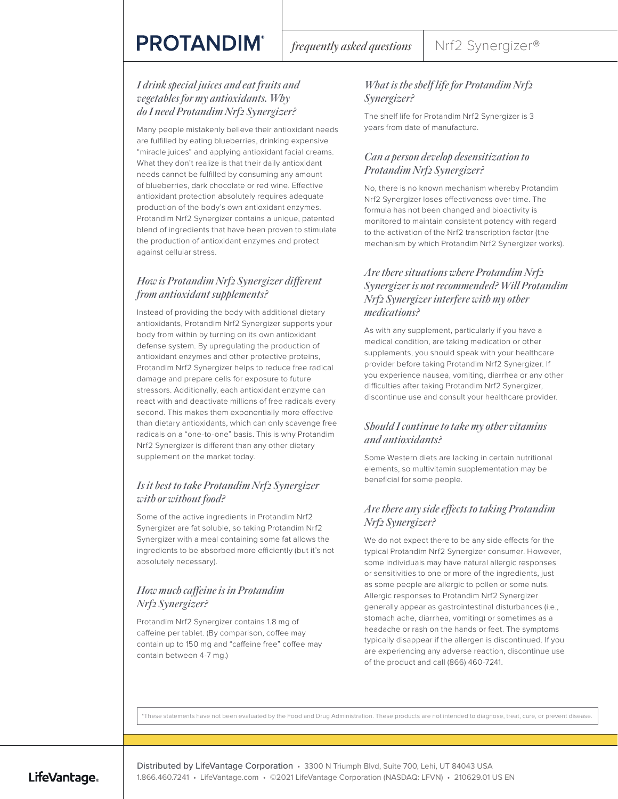## **PROTANDIM®**

#### *I drink special juices and eat fruits and vegetables for my antioxidants. Why do I need Protandim Nrf2 Synergizer?*

Many people mistakenly believe their antioxidant needs are fulfilled by eating blueberries, drinking expensive "miracle juices" and applying antioxidant facial creams. What they don't realize is that their daily antioxidant needs cannot be fulfilled by consuming any amount of blueberries, dark chocolate or red wine. Effective antioxidant protection absolutely requires adequate production of the body's own antioxidant enzymes. Protandim Nrf2 Synergizer contains a unique, patented blend of ingredients that have been proven to stimulate the production of antioxidant enzymes and protect against cellular stress.

#### *How is Protandim Nrf2 Synergizer different from antioxidant supplements?*

Instead of providing the body with additional dietary antioxidants, Protandim Nrf2 Synergizer supports your body from within by turning on its own antioxidant defense system. By upregulating the production of antioxidant enzymes and other protective proteins, Protandim Nrf2 Synergizer helps to reduce free radical damage and prepare cells for exposure to future stressors. Additionally, each antioxidant enzyme can react with and deactivate millions of free radicals every second. This makes them exponentially more effective than dietary antioxidants, which can only scavenge free radicals on a "one-to-one" basis. This is why Protandim Nrf2 Synergizer is different than any other dietary supplement on the market today.

#### *Is it best to take Protandim Nrf2 Synergizer with or without food?*

Some of the active ingredients in Protandim Nrf2 Synergizer are fat soluble, so taking Protandim Nrf2 Synergizer with a meal containing some fat allows the ingredients to be absorbed more efficiently (but it's not absolutely necessary).

### *How much caffeine is in Protandim Nrf2 Synergizer?*

Protandim Nrf2 Synergizer contains 1.8 mg of caffeine per tablet. (By comparison, coffee may contain up to 150 mg and "caffeine free" coffee may contain between 4-7 mg.)

#### *What is the shelf life for Protandim Nrf2 Synergizer?*

The shelf life for Protandim Nrf2 Synergizer is 3 years from date of manufacture.

#### *Can a person develop desensitization to Protandim Nrf2 Synergizer?*

No, there is no known mechanism whereby Protandim Nrf2 Synergizer loses effectiveness over time. The formula has not been changed and bioactivity is monitored to maintain consistent potency with regard to the activation of the Nrf2 transcription factor (the mechanism by which Protandim Nrf2 Synergizer works).

#### *Are there situations where Protandim Nrf2 Synergizer is not recommended? Will Protandim Nrf2 Synergizer interfere with my other medications?*

As with any supplement, particularly if you have a medical condition, are taking medication or other supplements, you should speak with your healthcare provider before taking Protandim Nrf2 Synergizer. If you experience nausea, vomiting, diarrhea or any other difficulties after taking Protandim Nrf2 Synergizer, discontinue use and consult your healthcare provider.

#### *Should I continue to take my other vitamins and antioxidants?*

Some Western diets are lacking in certain nutritional elements, so multivitamin supplementation may be beneficial for some people.

#### *Are there any side effects to taking Protandim Nrf2 Synergizer?*

We do not expect there to be any side effects for the typical Protandim Nrf2 Synergizer consumer. However, some individuals may have natural allergic responses or sensitivities to one or more of the ingredients, just as some people are allergic to pollen or some nuts. Allergic responses to Protandim Nrf2 Synergizer generally appear as gastrointestinal disturbances (i.e., stomach ache, diarrhea, vomiting) or sometimes as a headache or rash on the hands or feet. The symptoms typically disappear if the allergen is discontinued. If you are experiencing any adverse reaction, discontinue use of the product and call (866) 460-7241.

\*These statements have not been evaluated by the Food and Drug Administration. These products are not intended to diagnose, treat, cure, or prevent disease.

### LifeVantage.

Distributed by LifeVantage Corporation • 3300 N Triumph Blvd, Suite 700, Lehi, UT 84043 USA 1.866.460.7241 • LifeVantage.com • ©2021 LifeVantage Corporation (NASDAQ: LFVN) • 210629.01 US EN